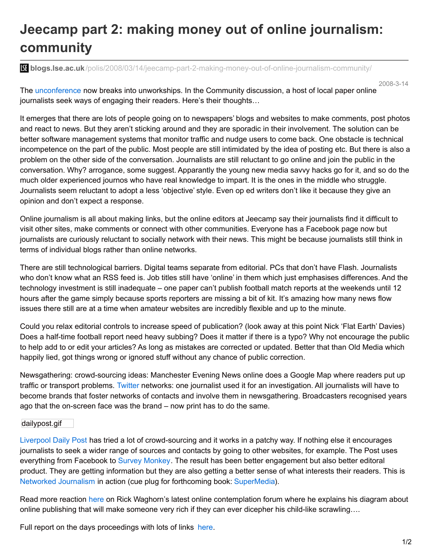## **Jeecamp part 2: making money out of online journalism: community**

**blogs.lse.ac.uk**[/polis/2008/03/14/jeecamp-part-2-making-money-out-of-online-journalism-community/](http://blogs.lse.ac.uk/polis/2008/03/14/jeecamp-part-2-making-money-out-of-online-journalism-community/)

2008-3-14

The [unconference](http://onlinejournalismblog.com/2008/02/12/jeecamp-the-journalism-enterprise-and-entrepreneurship-unconference/) now breaks into unworkships. In the Community discussion, a host of local paper online journalists seek ways of engaging their readers. Here's their thoughts…

It emerges that there are lots of people going on to newspapers' blogs and websites to make comments, post photos and react to news. But they aren't sticking around and they are sporadic in their involvement. The solution can be better software management systems that monitor traffic and nudge users to come back. One obstacle is technical incompetence on the part of the public. Most people are still intimidated by the idea of posting etc. But there is also a problem on the other side of the conversation. Journalists are still reluctant to go online and join the public in the conversation. Why? arrogance, some suggest. Apparantly the young new media savvy hacks go for it, and so do the much older experienced journos who have real knowledge to impart. It is the ones in the middle who struggle. Journalists seem reluctant to adopt a less 'objective' style. Even op ed writers don't like it because they give an opinion and don't expect a response.

Online journalism is all about making links, but the online editors at Jeecamp say their journalists find it difficult to visit other sites, make comments or connect with other communities. Everyone has a Facebook page now but journalists are curiously reluctant to socially network with their news. This might be because journalists still think in terms of individual blogs rather than online networks.

There are still technological barriers. Digital teams separate from editorial. PCs that don't have Flash. Journalists who don't know what an RSS feed is. Job titles still have 'online' in them which just emphasises differences. And the technology investment is still inadequate – one paper can't publish football match reports at the weekends until 12 hours after the game simply because sports reporters are missing a bit of kit. It's amazing how many news flow issues there still are at a time when amateur websites are incredibly flexible and up to the minute.

Could you relax editorial controls to increase speed of publication? (look away at this point Nick 'Flat Earth' Davies) Does a half-time football report need heavy subbing? Does it matter if there is a typo? Why not encourage the public to help add to or edit your articles? As long as mistakes are corrected or updated. Better that than Old Media which happily lied, got things wrong or ignored stuff without any chance of public correction.

Newsgathering: crowd-sourcing ideas: Manchester Evening News online does a Google Map where readers put up traffic or transport problems. [Twitter](http://twitter.com/) networks: one journalist used it for an investigation. All journalists will have to become brands that foster networks of contacts and involve them in newsgathering. Broadcasters recognised years ago that the on-screen face was the brand – now print has to do the same.

## dailypost.gif

[Liverpool](http://www.liverpooldailypost.co.uk/) Daily Post has tried a lot of crowd-sourcing and it works in a patchy way. If nothing else it encourages journalists to seek a wider range of sources and contacts by going to other websites, for example. The Post uses everything from Facebook to Survey [Monkey](http://www.surveymonkey.com/). The result has been better engagement but also better editoral product. They are getting information but they are also getting a better sense of what interests their readers. This is Networked [Journalism](http://www.blackwellpublishing.com/book.asp?ref=9781405179232) in action (cue plug for forthcoming book: [SuperMedia](http://www.blackwellpublishing.com/book.asp?ref=9781405179232)).

Read more reaction [here](http://outwithabang.wordpress.com/) on Rick Waghorn's latest online contemplation forum where he explains his diagram about online publishing that will make someone very rich if they can ever dicepher his child-like scrawling….

Full report on the days proceedings with lots of links [here](http://onlinejournalismblog.com/2008/03/18/jeecamp-when-the-cottage-news-industry-met-mainstream-media/).